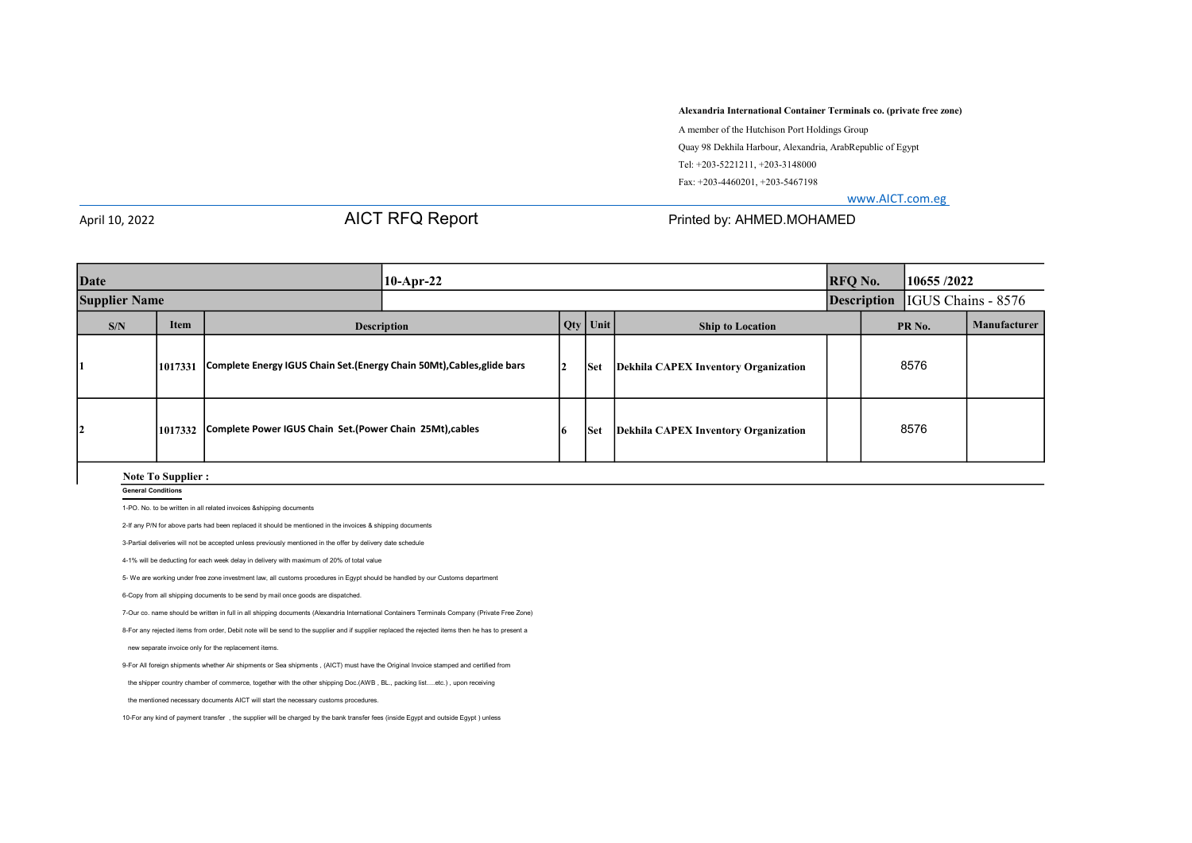Alexandria International Container Terminals co. (private free zone)

 A member of the Hutchison Port Holdings Group Quay 98 Dekhila Harbour, Alexandria, ArabRepublic of Egypt Tel: +203-5221211, +203-3148000 Fax: +203-4460201, +203-5467198

www.AICT.com.eg

# April 10, 2022 AICT RFQ Report Printed by: AHMED.MOHAMED

| Date                 |                                          |         |                                                                         | $10-Apr-22$ |    |            |                                             |      | <b>RFQ No.</b>    | 10655/2022                            |              |
|----------------------|------------------------------------------|---------|-------------------------------------------------------------------------|-------------|----|------------|---------------------------------------------|------|-------------------|---------------------------------------|--------------|
| <b>Supplier Name</b> |                                          |         |                                                                         |             |    |            |                                             |      |                   | <b>Description</b> IGUS Chains - 8576 |              |
|                      | <b>Item</b><br>S/N<br><b>Description</b> |         |                                                                         |             |    | $Qty$ Unit | <b>Ship to Location</b>                     |      | PR <sub>No.</sub> |                                       | Manufacturer |
|                      |                                          | 1017331 | Complete Energy IGUS Chain Set. (Energy Chain 50Mt), Cables, glide bars |             | 12 | Set        | <b>Dekhila CAPEX Inventory Organization</b> | 8576 |                   |                                       |              |
|                      | 12                                       |         | 1017332 Complete Power IGUS Chain Set. (Power Chain 25Mt), cables       | 16          |    | Set        | Dekhila CAPEX Inventory Organization        |      | 8576              |                                       |              |

### Note To Supplier :

## General Conditions

1-PO. No. to be written in all related invoices &shipping documents

2-If any P/N for above parts had been replaced it should be mentioned in the invoices & shipping documents

3-Partial deliveries will not be accepted unless previously mentioned in the offer by delivery date schedule

4-1% will be deducting for each week delay in delivery with maximum of 20% of total value

5- We are working under free zone investment law, all customs procedures in Egypt should be handled by our Customs department

6-Copy from all shipping documents to be send by mail once goods are dispatched.

7-Our co. name should be written in full in all shipping documents (Alexandria International Containers Terminals Company (Private Free Zone)

8-For any rejected items from order, Debit note will be send to the supplier and if supplier replaced the rejected items then he has to present a

new separate invoice only for the replacement items.

9-For All foreign shipments whether Air shipments or Sea shipments , (AICT) must have the Original Invoice stamped and certified from

the shipper country chamber of commerce, together with the other shipping Doc.(AWB , BL., packing list….etc.) , upon receiving

the mentioned necessary documents AICT will start the necessary customs procedures.

10-For any kind of payment transfer , the supplier will be charged by the bank transfer fees (inside Egypt and outside Egypt ) unless